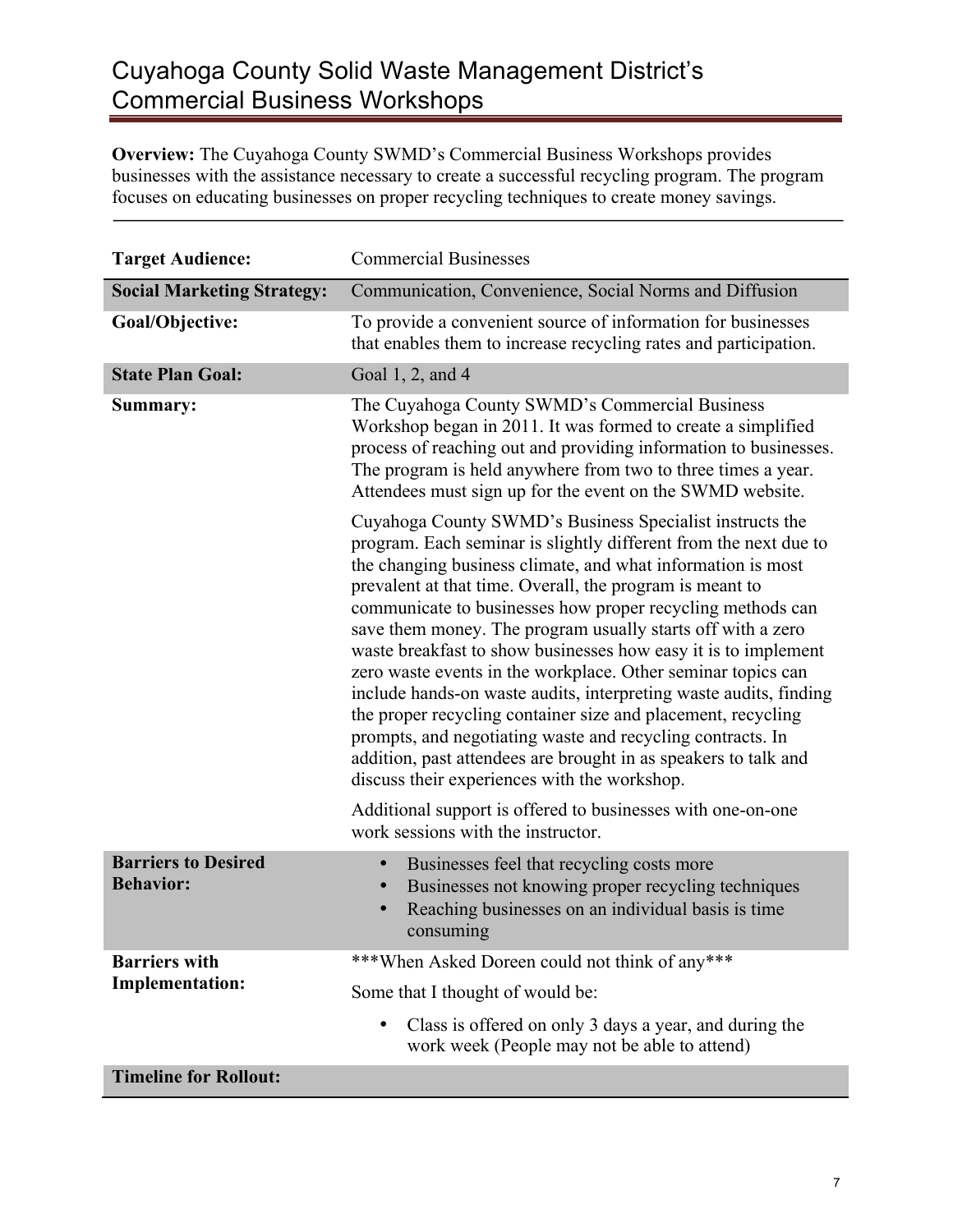## Cuyahoga County Solid Waste Management District's Commercial Business Workshops

**Overview:** The Cuyahoga County SWMD's Commercial Business Workshops provides businesses with the assistance necessary to create a successful recycling program. The program focuses on educating businesses on proper recycling techniques to create money savings.

| <b>Target Audience:</b>                        | <b>Commercial Businesses</b>                                                                                                                                                                                                                                                                                                                                                                                                                                                                                                                                                                                                                                                                                                                                                                                                                 |
|------------------------------------------------|----------------------------------------------------------------------------------------------------------------------------------------------------------------------------------------------------------------------------------------------------------------------------------------------------------------------------------------------------------------------------------------------------------------------------------------------------------------------------------------------------------------------------------------------------------------------------------------------------------------------------------------------------------------------------------------------------------------------------------------------------------------------------------------------------------------------------------------------|
| <b>Social Marketing Strategy:</b>              | Communication, Convenience, Social Norms and Diffusion                                                                                                                                                                                                                                                                                                                                                                                                                                                                                                                                                                                                                                                                                                                                                                                       |
| Goal/Objective:                                | To provide a convenient source of information for businesses<br>that enables them to increase recycling rates and participation.                                                                                                                                                                                                                                                                                                                                                                                                                                                                                                                                                                                                                                                                                                             |
| <b>State Plan Goal:</b>                        | Goal 1, 2, and 4                                                                                                                                                                                                                                                                                                                                                                                                                                                                                                                                                                                                                                                                                                                                                                                                                             |
| Summary:                                       | The Cuyahoga County SWMD's Commercial Business<br>Workshop began in 2011. It was formed to create a simplified<br>process of reaching out and providing information to businesses.<br>The program is held anywhere from two to three times a year.<br>Attendees must sign up for the event on the SWMD website.                                                                                                                                                                                                                                                                                                                                                                                                                                                                                                                              |
|                                                | Cuyahoga County SWMD's Business Specialist instructs the<br>program. Each seminar is slightly different from the next due to<br>the changing business climate, and what information is most<br>prevalent at that time. Overall, the program is meant to<br>communicate to businesses how proper recycling methods can<br>save them money. The program usually starts off with a zero<br>waste breakfast to show businesses how easy it is to implement<br>zero waste events in the workplace. Other seminar topics can<br>include hands-on waste audits, interpreting waste audits, finding<br>the proper recycling container size and placement, recycling<br>prompts, and negotiating waste and recycling contracts. In<br>addition, past attendees are brought in as speakers to talk and<br>discuss their experiences with the workshop. |
|                                                | Additional support is offered to businesses with one-on-one<br>work sessions with the instructor.                                                                                                                                                                                                                                                                                                                                                                                                                                                                                                                                                                                                                                                                                                                                            |
| <b>Barriers to Desired</b><br><b>Behavior:</b> | Businesses feel that recycling costs more<br>$\bullet$<br>Businesses not knowing proper recycling techniques<br>$\bullet$<br>Reaching businesses on an individual basis is time<br>consuming                                                                                                                                                                                                                                                                                                                                                                                                                                                                                                                                                                                                                                                 |
| <b>Barriers with</b><br><b>Implementation:</b> | ***When Asked Doreen could not think of any***                                                                                                                                                                                                                                                                                                                                                                                                                                                                                                                                                                                                                                                                                                                                                                                               |
|                                                | Some that I thought of would be:                                                                                                                                                                                                                                                                                                                                                                                                                                                                                                                                                                                                                                                                                                                                                                                                             |
|                                                | Class is offered on only 3 days a year, and during the<br>$\bullet$<br>work week (People may not be able to attend)                                                                                                                                                                                                                                                                                                                                                                                                                                                                                                                                                                                                                                                                                                                          |
| <b>Timeline for Rollout:</b>                   |                                                                                                                                                                                                                                                                                                                                                                                                                                                                                                                                                                                                                                                                                                                                                                                                                                              |